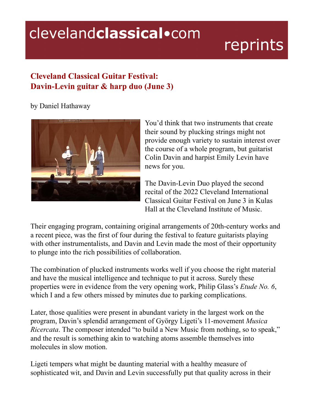## clevelandclassical.com

## reprints

## **Cleveland Classical Guitar Festival: Davin-Levin guitar & harp duo (June 3)**

by Daniel Hathaway



You'd think that two instruments that create their sound by plucking strings might not provide enough variety to sustain interest over the course of a whole program, but guitarist Colin Davin and harpist Emily Levin have news for you.

The Davin-Levin Duo played the second recital of the 2022 Cleveland International Classical Guitar Festival on June 3 in Kulas Hall at the Cleveland Institute of Music.

Their engaging program, containing original arrangements of 20th-century works and a recent piece, was the first of four during the festival to feature guitarists playing with other instrumentalists, and Davin and Levin made the most of their opportunity to plunge into the rich possibilities of collaboration.

The combination of plucked instruments works well if you choose the right material and have the musical intelligence and technique to put it across. Surely these properties were in evidence from the very opening work, Philip Glass's *Etude No. 6*, which I and a few others missed by minutes due to parking complications.

Later, those qualities were present in abundant variety in the largest work on the program, Davin's splendid arrangement of György Ligeti's 11-movement *Musica Ricercata*. The composer intended "to build a New Music from nothing, so to speak," and the result is something akin to watching atoms assemble themselves into molecules in slow motion.

Ligeti tempers what might be daunting material with a healthy measure of sophisticated wit, and Davin and Levin successfully put that quality across in their